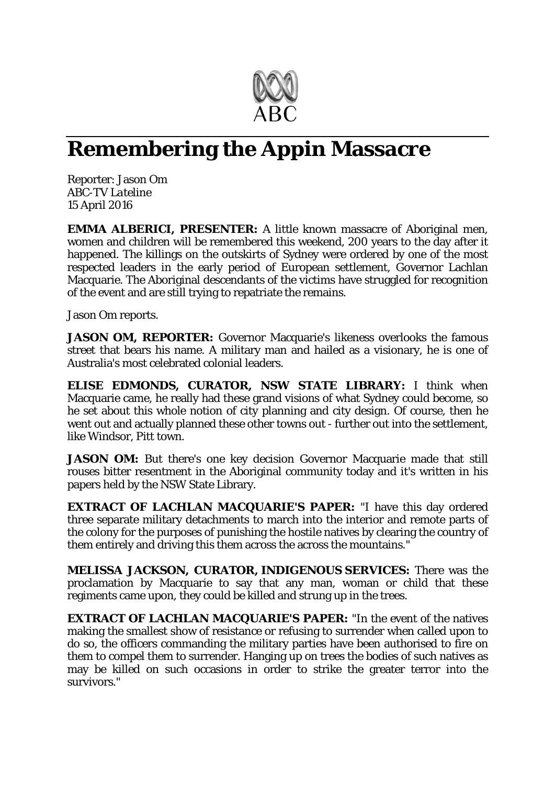

## **Remembering the Appin Massacre**

Reporter: Jason Om *ABC-TV Lateline* 15 April 2016

**EMMA ALBERICI, PRESENTER:** A little known massacre of Aboriginal men, women and children will be remembered this weekend, 200 years to the day after it happened. The killings on the outskirts of Sydney were ordered by one of the most respected leaders in the early period of European settlement, Governor Lachlan Macquarie. The Aboriginal descendants of the victims have struggled for recognition of the event and are still trying to repatriate the remains.

Jason Om reports.

**JASON OM, REPORTER:** Governor Macquarie's likeness overlooks the famous street that bears his name. A military man and hailed as a visionary, he is one of Australia's most celebrated colonial leaders.

**ELISE EDMONDS, CURATOR, NSW STATE LIBRARY:** I think when Macquarie came, he really had these grand visions of what Sydney could become, so he set about this whole notion of city planning and city design. Of course, then he went out and actually planned these other towns out - further out into the settlement, like Windsor, Pitt town.

**JASON OM:** But there's one key decision Governor Macquarie made that still rouses bitter resentment in the Aboriginal community today and it's written in his papers held by the NSW State Library.

**EXTRACT OF LACHLAN MACQUARIE'S PAPER:** "I have this day ordered three separate military detachments to march into the interior and remote parts of the colony for the purposes of punishing the hostile natives by clearing the country of them entirely and driving this them across the across the mountains."

**MELISSA JACKSON, CURATOR, INDIGENOUS SERVICES:** There was the proclamation by Macquarie to say that any man, woman or child that these regiments came upon, they could be killed and strung up in the trees.

**EXTRACT OF LACHLAN MACQUARIE'S PAPER:** "In the event of the natives making the smallest show of resistance or refusing to surrender when called upon to do so, the officers commanding the military parties have been authorised to fire on them to compel them to surrender. Hanging up on trees the bodies of such natives as may be killed on such occasions in order to strike the greater terror into the survivors."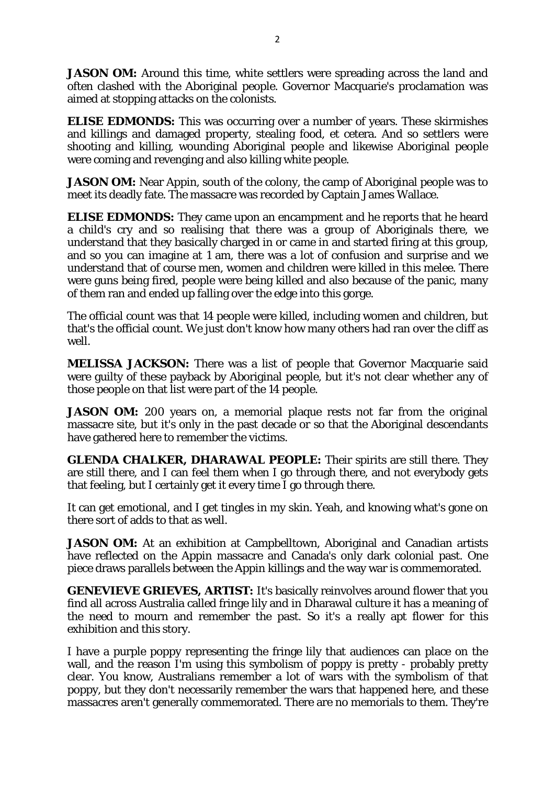**JASON OM:** Around this time, white settlers were spreading across the land and often clashed with the Aboriginal people. Governor Macquarie's proclamation was aimed at stopping attacks on the colonists.

**ELISE EDMONDS:** This was occurring over a number of years. These skirmishes and killings and damaged property, stealing food, et cetera. And so settlers were shooting and killing, wounding Aboriginal people and likewise Aboriginal people were coming and revenging and also killing white people.

**JASON OM:** Near Appin, south of the colony, the camp of Aboriginal people was to meet its deadly fate. The massacre was recorded by Captain James Wallace.

**ELISE EDMONDS:** They came upon an encampment and he reports that he heard a child's cry and so realising that there was a group of Aboriginals there, we understand that they basically charged in or came in and started firing at this group, and so you can imagine at 1 am, there was a lot of confusion and surprise and we understand that of course men, women and children were killed in this melee. There were guns being fired, people were being killed and also because of the panic, many of them ran and ended up falling over the edge into this gorge.

The official count was that 14 people were killed, including women and children, but that's the official count. We just don't know how many others had ran over the cliff as well.

**MELISSA JACKSON:** There was a list of people that Governor Macquarie said were guilty of these payback by Aboriginal people, but it's not clear whether any of those people on that list were part of the 14 people.

**JASON OM:** 200 years on, a memorial plaque rests not far from the original massacre site, but it's only in the past decade or so that the Aboriginal descendants have gathered here to remember the victims.

**GLENDA CHALKER, DHARAWAL PEOPLE:** Their spirits are still there. They are still there, and I can feel them when I go through there, and not everybody gets that feeling, but I certainly get it every time I go through there.

It can get emotional, and I get tingles in my skin. Yeah, and knowing what's gone on there sort of adds to that as well.

**JASON OM:** At an exhibition at Campbelltown, Aboriginal and Canadian artists have reflected on the Appin massacre and Canada's only dark colonial past. One piece draws parallels between the Appin killings and the way war is commemorated.

**GENEVIEVE GRIEVES, ARTIST:** It's basically reinvolves around flower that you find all across Australia called fringe lily and in Dharawal culture it has a meaning of the need to mourn and remember the past. So it's a really apt flower for this exhibition and this story.

I have a purple poppy representing the fringe lily that audiences can place on the wall, and the reason I'm using this symbolism of poppy is pretty - probably pretty clear. You know, Australians remember a lot of wars with the symbolism of that poppy, but they don't necessarily remember the wars that happened here, and these massacres aren't generally commemorated. There are no memorials to them. They're